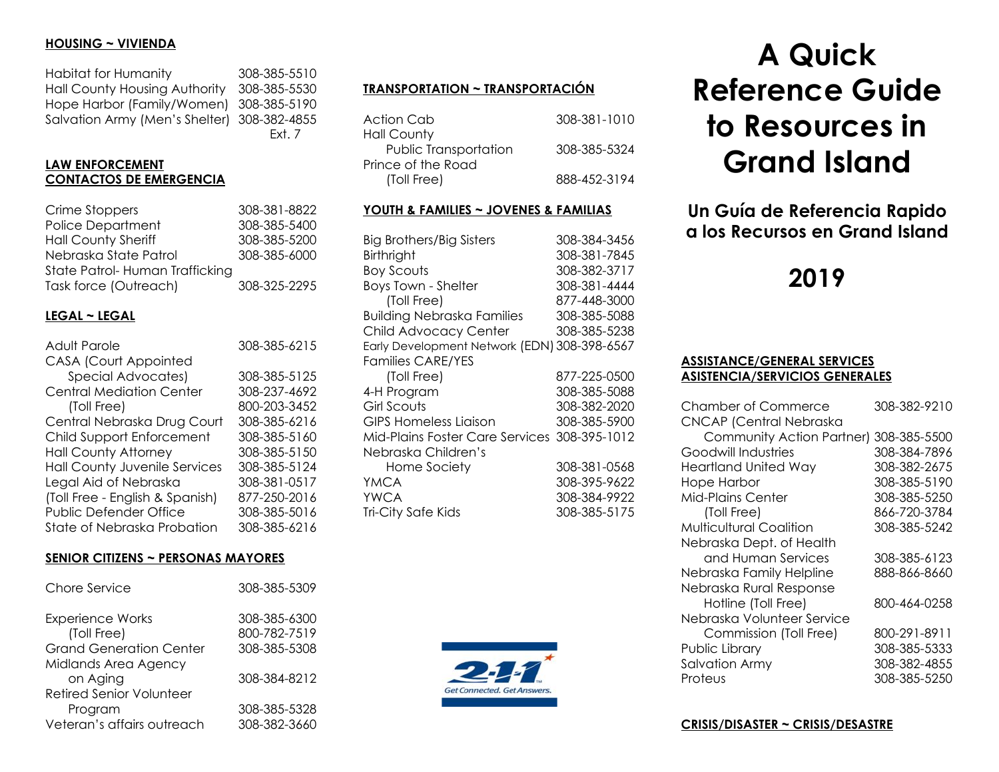### **HOUSING ~ VIVIENDA**

| Habitat for Humanity                        | 308-385-5510 |
|---------------------------------------------|--------------|
| <b>Hall County Housing Authority</b>        | 308-385-5530 |
| Hope Harbor (Family/Women) 308-385-5190     |              |
| Salvation Army (Men's Shelter) 308-382-4855 |              |
|                                             | Fxt. 7       |

# **LAW ENFORCEMENT CONTACTOS DE EMERGENCIA**

| Crime Stoppers                 | 308-381-8822 |
|--------------------------------|--------------|
| <b>Police Department</b>       | 308-385-5400 |
| <b>Hall County Sheriff</b>     | 308-385-5200 |
| Nebraska State Patrol          | 308-385-6000 |
| State Patrol-Human Trafficking |              |
| Task force (Outreach)          | 308-325-2295 |

# **LEGAL ~ LEGAL**

| <b>Adult Parole</b>                  | 308-385-6215 |
|--------------------------------------|--------------|
| <b>CASA (Court Appointed</b>         |              |
| Special Advocates)                   | 308-385-5125 |
| <b>Central Mediation Center</b>      | 308-237-4692 |
| (Toll Free)                          | 800-203-3452 |
| Central Nebraska Drug Court          | 308-385-6216 |
| Child Support Enforcement            | 308-385-5160 |
| <b>Hall County Attorney</b>          | 308-385-5150 |
| <b>Hall County Juvenile Services</b> | 308-385-5124 |
| Legal Aid of Nebraska                | 308-381-0517 |
| (Toll Free - English & Spanish)      | 877-250-2016 |
| <b>Public Defender Office</b>        | 308-385-5016 |
| State of Nebraska Probation          | 308-385-6216 |

### **SENIOR CITIZENS ~ PERSONAS MAYORES**

| Chore Service                   | 308-385-5309 |
|---------------------------------|--------------|
| <b>Experience Works</b>         | 308-385-6300 |
| (Toll Free)                     | 800-782-7519 |
| <b>Grand Generation Center</b>  | 308-385-5308 |
| Midlands Area Agency            |              |
| on Aging                        | 308-384-8212 |
| <b>Retired Senior Volunteer</b> |              |
| Program                         | 308-385-5328 |
| Veteran's affairs outreach      | 308-382-3660 |

# **TRANSPORTATION ~ TRANSPORTACIÓN**

| Action Cab            | 308-381-1010 |
|-----------------------|--------------|
| Hall County           |              |
| Public Transportation | 308-385-5324 |
| Prince of the Road    |              |
| (Toll Free)           | 888-452-3194 |

### **YOUTH & FAMILIES ~ JOVENES & FAMILIAS**

| <b>Big Brothers/Big Sisters</b><br>Birthright<br><b>Boy Scouts</b><br><b>Boys Town - Shelter</b><br>(Toll Free)<br><b>Building Nebraska Families</b><br>Child Advocacy Center<br>Early Development Network (EDN) 308-398-6567 | 308-384-3456<br>308-381-7845<br>308-382-3717<br>308-381-4444<br>877-448-3000<br>308-385-5088<br>308-385-5238 |
|-------------------------------------------------------------------------------------------------------------------------------------------------------------------------------------------------------------------------------|--------------------------------------------------------------------------------------------------------------|
| <b>Families CARE/YES</b>                                                                                                                                                                                                      |                                                                                                              |
| (Toll Free)                                                                                                                                                                                                                   | 877-225-0500                                                                                                 |
| 4-H Program                                                                                                                                                                                                                   | 308-385-5088                                                                                                 |
| Girl Scouts                                                                                                                                                                                                                   | 308-382-2020                                                                                                 |
| GIPS Homeless Liaison                                                                                                                                                                                                         | 308-385-5900                                                                                                 |
| Mid-Plains Foster Care Services 308-395-1012                                                                                                                                                                                  |                                                                                                              |
| Nebraska Children's                                                                                                                                                                                                           |                                                                                                              |
| Home Society                                                                                                                                                                                                                  | 308-381-0568                                                                                                 |
| YMCA                                                                                                                                                                                                                          | 308-395-9622                                                                                                 |
| <b>YWCA</b>                                                                                                                                                                                                                   | 308-384-9922                                                                                                 |
| Tri-City Safe Kids                                                                                                                                                                                                            | 308-385-5175                                                                                                 |



# **A Quick Reference Guide to Resources in Grand Island**

**Un Guía de Referencia Rapido a los Recursos en Grand Island**

# **2019**

### **ASSISTANCE/GENERAL SERVICES ASISTENCIA/SERVICIOS GENERALES**

| Chamber of Commerce            | 308-382-9210 |
|--------------------------------|--------------|
| <b>CNCAP (Central Nebraska</b> |              |
| Community Action Partner)      | 308-385-5500 |
| Goodwill Industries            | 308-384-7896 |
| <b>Heartland United Way</b>    | 308-382-2675 |
| <b>Hope Harbor</b>             | 308-385-5190 |
| Mid-Plains Center              | 308-385-5250 |
| (Toll Free)                    | 866-720-3784 |
| <b>Multicultural Coalition</b> | 308-385-5242 |
| Nebraska Dept. of Health       |              |
| and Human Services             | 308-385-6123 |
| Nebraska Family Helpline       | 888-866-8660 |
| Nebraska Rural Response        |              |
| Hotline (Toll Free)            | 800-464-0258 |
| Nebraska Volunteer Service     |              |
| Commission (Toll Free)         | 800-291-8911 |
| Public Library                 | 308-385-5333 |
| <b>Salvation Army</b>          | 308-382-4855 |
| Proteus                        | 308-385-5250 |

#### **CRISIS/DISASTER ~ CRISIS/DESASTRE**